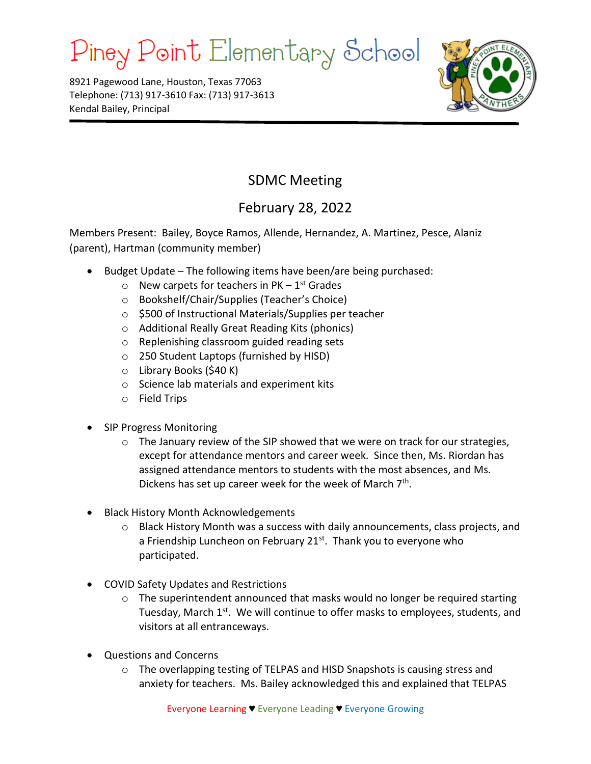## Piney Point Elementary School

8921 Pagewood Lane, Houston, Texas 77063 Telephone: (713) 917-3610 Fax: (713) 917-3613 Kendal Bailey, Principal



## SDMC Meeting

## February 28, 2022

Members Present: Bailey, Boyce Ramos, Allende, Hernandez, A. Martinez, Pesce, Alaniz (parent), Hartman (community member)

- Budget Update The following items have been/are being purchased:
	- $\circ$  New carpets for teachers in PK 1<sup>st</sup> Grades
	- o Bookshelf/Chair/Supplies (Teacher's Choice)
	- o \$500 of Instructional Materials/Supplies per teacher
	- o Additional Really Great Reading Kits (phonics)
	- o Replenishing classroom guided reading sets
	- o 250 Student Laptops (furnished by HISD)
	- o Library Books (\$40 K)
	- o Science lab materials and experiment kits
	- o Field Trips
- SIP Progress Monitoring
	- $\circ$  The January review of the SIP showed that we were on track for our strategies, except for attendance mentors and career week. Since then, Ms. Riordan has assigned attendance mentors to students with the most absences, and Ms. Dickens has set up career week for the week of March 7<sup>th</sup>.
- Black History Month Acknowledgements
	- $\circ$  Black History Month was a success with daily announcements, class projects, and a Friendship Luncheon on February  $21<sup>st</sup>$ . Thank you to everyone who participated.
- COVID Safety Updates and Restrictions
	- $\circ$  The superintendent announced that masks would no longer be required starting Tuesday, March 1<sup>st</sup>. We will continue to offer masks to employees, students, and visitors at all entranceways.
- Questions and Concerns
	- o The overlapping testing of TELPAS and HISD Snapshots is causing stress and anxiety for teachers. Ms. Bailey acknowledged this and explained that TELPAS